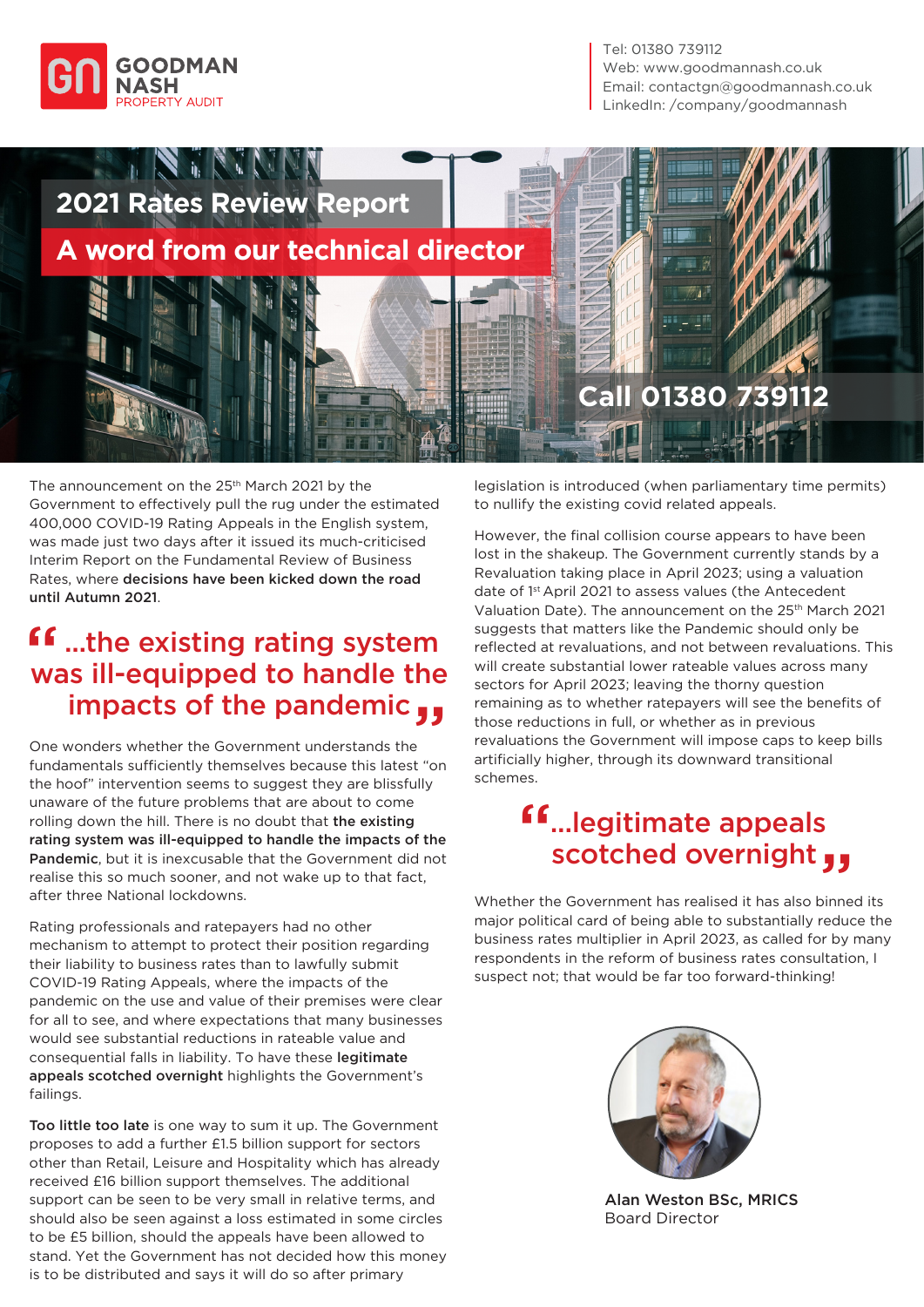

Tel: 01380 739112 Web: www.goodmannash.co.uk Email: contactgn@goodmannash.co.uk LinkedIn: [/company/goodmannash](https://www.linkedin.com/company/goodmannash/mycompany/?viewAsMember=true)



The announcement on the 25<sup>th</sup> March 2021 by the Government to effectively pull the rug under the estimated 400,000 COVID-19 Rating Appeals in the English system, was made just two days after it issued its much-criticised Interim Report on the Fundamental Review of Business Rates, where decisions have been kicked down the road until Autumn 2021.

## **ff** ...the existing rating system<br>was ill-equipped to handle the was ill-equipped to handle the impacts of the pandemic "

One wonders whether the Government understands the fundamentals sufficiently themselves because this latest "on the hoof" intervention seems to suggest they are blissfully unaware of the future problems that are about to come rolling down the hill. There is no doubt that the existing rating system was ill-equipped to handle the impacts of the Pandemic, but it is inexcusable that the Government did not realise this so much sooner, and not wake up to that fact, after three National lockdowns.

Rating professionals and ratepayers had no other mechanism to attempt to protect their position regarding their liability to business rates than to lawfully submit COVID-19 Rating Appeals, where the impacts of the pandemic on the use and value of their premises were clear for all to see, and where expectations that many businesses would see substantial reductions in rateable value and consequential falls in liability. To have these legitimate appeals scotched overnight highlights the Government's failings.

Too little too late is one way to sum it up. The Government proposes to add a further £1.5 billion support for sectors other than Retail, Leisure and Hospitality which has already received £16 billion support themselves. The additional support can be seen to be very small in relative terms, and should also be seen against a loss estimated in some circles to be £5 billion, should the appeals have been allowed to stand. Yet the Government has not decided how this money is to be distributed and says it will do so after primary

legislation is introduced (when parliamentary time permits) to nullify the existing covid related appeals.

However, the final collision course appears to have been lost in the shakeup. The Government currently stands by a Revaluation taking place in April 2023; using a valuation date of 1<sup>st</sup> April 2021 to assess values (the Antecedent Valuation Date). The announcement on the 25<sup>th</sup> March 2021 suggests that matters like the Pandemic should only be reflected at revaluations, and not between revaluations. This will create substantial lower rateable values across many sectors for April 2023; leaving the thorny question remaining as to whether ratepayers will see the benefits of those reductions in full, or whether as in previous revaluations the Government will impose caps to keep bills artificially higher, through its downward transitional schemes.

## ...legitimate appeals scotched overnight " "

Whether the Government has realised it has also binned its major political card of being able to substantially reduce the business rates multiplier in April 2023, as called for by many respondents in the reform of business rates consultation, I suspect not; that would be far too forward-thinking!



 Alan Weston BSc, MRICS Board Director